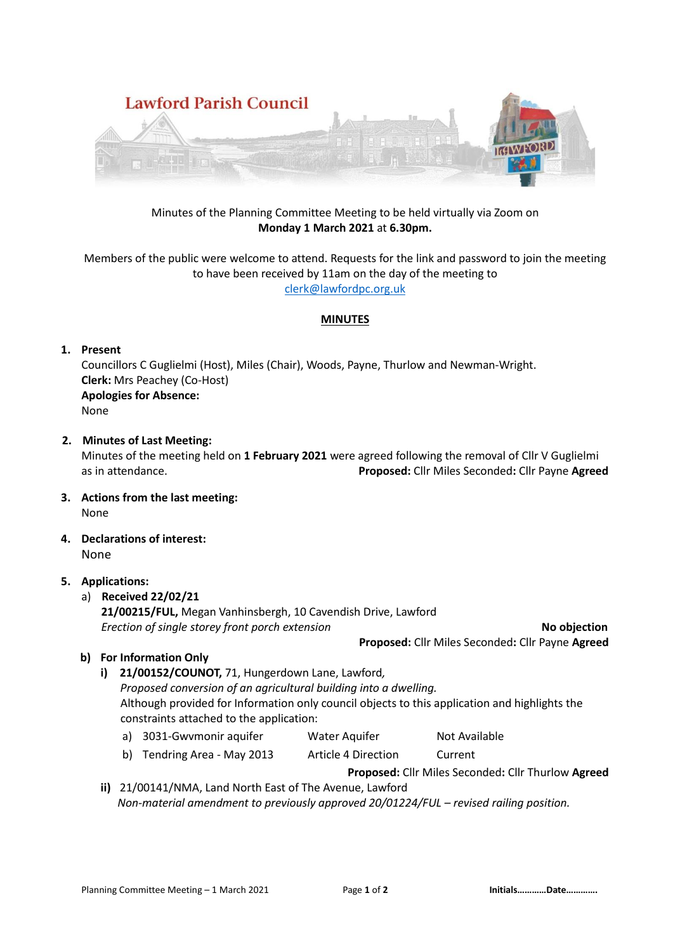

## Minutes of the Planning Committee Meeting to be held virtually via Zoom on **Monday 1 March 2021** at **6.30pm.**

## Members of the public were welcome to attend. Requests for the link and password to join the meeting to have been received by 11am on the day of the meeting to [clerk@lawfordpc.org.uk](mailto:clerk@lawfordpc.org.uk)

### **MINUTES**

## **1. Present**

Councillors C Guglielmi (Host), Miles (Chair), Woods, Payne, Thurlow and Newman-Wright. **Clerk:** Mrs Peachey (Co-Host) **Apologies for Absence:**  None

### **2. Minutes of Last Meeting:**

Minutes of the meeting held on **1 February 2021** were agreed following the removal of Cllr V Guglielmi as in attendance. **Proposed:** Cllr Miles Seconded**:** Cllr Payne **Agreed** 

- **3. Actions from the last meeting:** None
- **4. Declarations of interest:** None

## **5. Applications:**

## a) **Received 22/02/21**

 **21/00215/FUL,** Megan Vanhinsbergh, 10 Cavendish Drive, Lawford  *Erection of single storey front porch extension* **No objection**

# **Proposed:** Cllr Miles Seconded**:** Cllr Payne **Agreed**

## **b) For Information Only**

# **i) 21/00152/COUNOT,** 71, Hungerdown Lane, Lawford*, Proposed conversion of an agricultural building into a dwelling.* Although provided for Information only council objects to this application and highlights the constraints attached to the application: a) 3031-Gwvmonir aquifer Water Aquifer Not Available

- 
- b) Tendring Area May 2013 Article 4 Direction Current

**Proposed:** Cllr Miles Seconded**:** Cllr Thurlow **Agreed** 

**ii)** 21/00141/NMA, Land North East of The Avenue, Lawford  *Non-material amendment to previously approved 20/01224/FUL – revised railing position.*